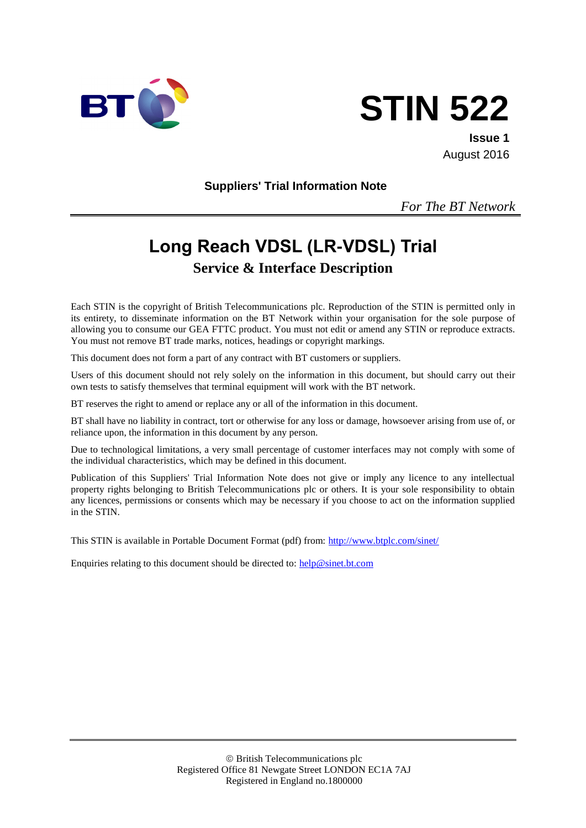



**Issue 1** August 2016

**Suppliers' Trial Information Note**

*For The BT Network*

# **Long Reach VDSL (LR-VDSL) Trial Service & Interface Description**

Each STIN is the copyright of British Telecommunications plc. Reproduction of the STIN is permitted only in its entirety, to disseminate information on the BT Network within your organisation for the sole purpose of allowing you to consume our GEA FTTC product. You must not edit or amend any STIN or reproduce extracts. You must not remove BT trade marks, notices, headings or copyright markings.

This document does not form a part of any contract with BT customers or suppliers.

Users of this document should not rely solely on the information in this document, but should carry out their own tests to satisfy themselves that terminal equipment will work with the BT network.

BT reserves the right to amend or replace any or all of the information in this document.

BT shall have no liability in contract, tort or otherwise for any loss or damage, howsoever arising from use of, or reliance upon, the information in this document by any person.

Due to technological limitations, a very small percentage of customer interfaces may not comply with some of the individual characteristics, which may be defined in this document.

Publication of this Suppliers' Trial Information Note does not give or imply any licence to any intellectual property rights belonging to British Telecommunications plc or others. It is your sole responsibility to obtain any licences, permissions or consents which may be necessary if you choose to act on the information supplied in the STIN.

This STIN is available in Portable Document Format (pdf) from:<http://www.btplc.com/sinet/>

Enquiries relating to this document should be directed to:  $\frac{help@sinet.bt.com}{help@sinet.bt.com}$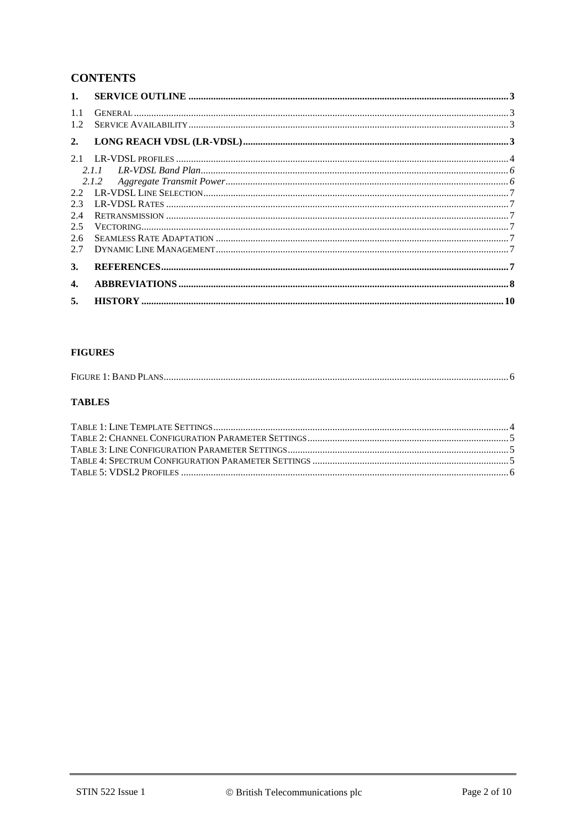## **CONTENTS**

| 1.            |       |  |
|---------------|-------|--|
| 1.1<br>1.2.   |       |  |
| 2.            |       |  |
| 21            |       |  |
|               | 2.1.1 |  |
|               | 2.1.2 |  |
| $2.2^{\circ}$ |       |  |
| 2.3           |       |  |
| 2.4           |       |  |
| 2.5           |       |  |
| 2.6           |       |  |
| 2.7           |       |  |
| 3.            |       |  |
| 4.            |       |  |
| 5.            |       |  |

#### **FIGURES**

|--|

#### **TABLES**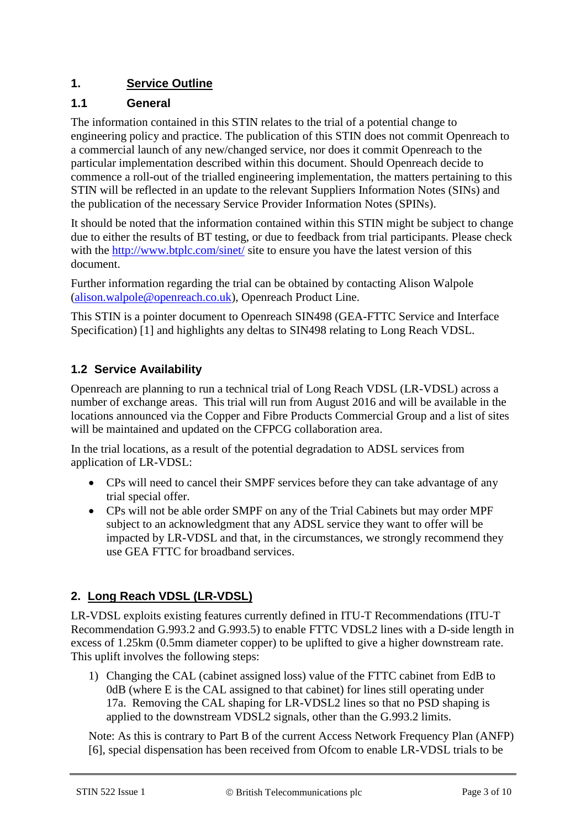# **1. Service Outline**

#### **1.1 General**

The information contained in this STIN relates to the trial of a potential change to engineering policy and practice. The publication of this STIN does not commit Openreach to a commercial launch of any new/changed service, nor does it commit Openreach to the particular implementation described within this document. Should Openreach decide to commence a roll-out of the trialled engineering implementation, the matters pertaining to this STIN will be reflected in an update to the relevant Suppliers Information Notes (SINs) and the publication of the necessary Service Provider Information Notes (SPINs).

It should be noted that the information contained within this STIN might be subject to change due to either the results of BT testing, or due to feedback from trial participants. Please check with the<http://www.btplc.com/sinet/> site to ensure you have the latest version of this document.

Further information regarding the trial can be obtained by contacting Alison Walpole [\(alison.walpole@openreach.co.uk\)](mailto:alison.walpole@openreach.co.uk), Openreach Product Line.

This STIN is a pointer document to Openreach SIN498 (GEA-FTTC Service and Interface Specification) [1] and highlights any deltas to SIN498 relating to Long Reach VDSL.

#### **1.2 Service Availability**

Openreach are planning to run a technical trial of Long Reach VDSL (LR-VDSL) across a number of exchange areas. This trial will run from August 2016 and will be available in the locations announced via the Copper and Fibre Products Commercial Group and a list of sites will be maintained and updated on the CFPCG collaboration area.

In the trial locations, as a result of the potential degradation to ADSL services from application of LR-VDSL:

- CPs will need to cancel their SMPF services before they can take advantage of any trial special offer.
- CPs will not be able order SMPF on any of the Trial Cabinets but may order MPF subject to an acknowledgment that any ADSL service they want to offer will be impacted by LR-VDSL and that, in the circumstances, we strongly recommend they use GEA FTTC for broadband services.

## **2. Long Reach VDSL (LR-VDSL)**

LR-VDSL exploits existing features currently defined in ITU-T Recommendations (ITU-T Recommendation G.993.2 and G.993.5) to enable FTTC VDSL2 lines with a D-side length in excess of 1.25km (0.5mm diameter copper) to be uplifted to give a higher downstream rate. This uplift involves the following steps:

1) Changing the CAL (cabinet assigned loss) value of the FTTC cabinet from EdB to 0dB (where E is the CAL assigned to that cabinet) for lines still operating under 17a. Removing the CAL shaping for LR-VDSL2 lines so that no PSD shaping is applied to the downstream VDSL2 signals, other than the G.993.2 limits.

Note: As this is contrary to Part B of the current Access Network Frequency Plan (ANFP) [6], special dispensation has been received from Ofcom to enable LR-VDSL trials to be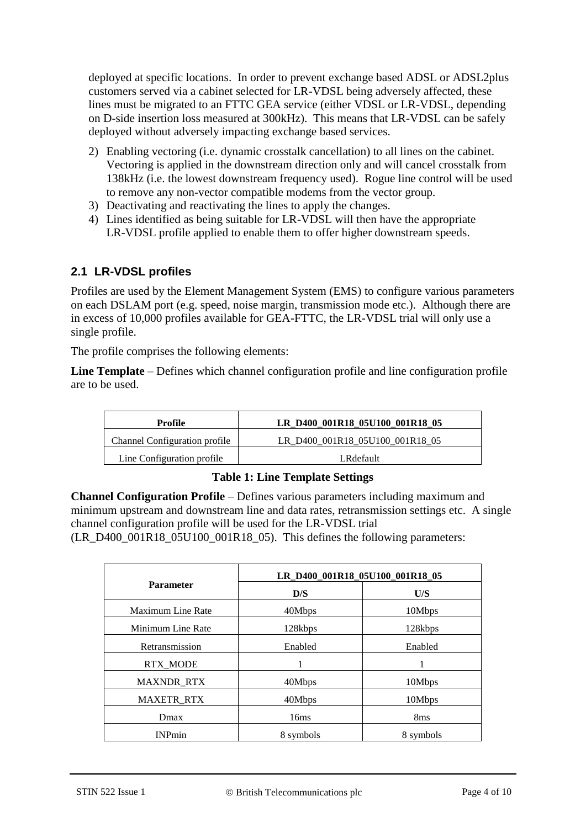deployed at specific locations. In order to prevent exchange based ADSL or ADSL2plus customers served via a cabinet selected for LR-VDSL being adversely affected, these lines must be migrated to an FTTC GEA service (either VDSL or LR-VDSL, depending on D-side insertion loss measured at 300kHz). This means that LR-VDSL can be safely deployed without adversely impacting exchange based services.

- 2) Enabling vectoring (i.e. dynamic crosstalk cancellation) to all lines on the cabinet. Vectoring is applied in the downstream direction only and will cancel crosstalk from 138kHz (i.e. the lowest downstream frequency used). Rogue line control will be used to remove any non-vector compatible modems from the vector group.
- 3) Deactivating and reactivating the lines to apply the changes.
- 4) Lines identified as being suitable for LR-VDSL will then have the appropriate LR-VDSL profile applied to enable them to offer higher downstream speeds.

#### **2.1 LR-VDSL profiles**

Profiles are used by the Element Management System (EMS) to configure various parameters on each DSLAM port (e.g. speed, noise margin, transmission mode etc.). Although there are in excess of 10,000 profiles available for GEA-FTTC, the LR-VDSL trial will only use a single profile.

The profile comprises the following elements:

**Line Template** – Defines which channel configuration profile and line configuration profile are to be used.

| Profile                              | LR_D400_001R18_05U100_001R18_05 |
|--------------------------------------|---------------------------------|
| <b>Channel Configuration profile</b> | LR_D400_001R18_05U100_001R18_05 |
| Line Configuration profile           | LRdefault                       |

#### **Table 1: Line Template Settings**

**Channel Configuration Profile** – Defines various parameters including maximum and minimum upstream and downstream line and data rates, retransmission settings etc. A single channel configuration profile will be used for the LR-VDSL trial (LR\_D400\_001R18\_05U100\_001R18\_05). This defines the following parameters:

|                   | LR_D400_001R18_05U100_001R18_05 |                 |
|-------------------|---------------------------------|-----------------|
| <b>Parameter</b>  | D/S                             | U/S             |
| Maximum Line Rate | 40Mbps                          | 10Mbps          |
| Minimum Line Rate | 128kbps                         | 128kbps         |
| Retransmission    | Enabled                         | Enabled         |
| <b>RTX MODE</b>   | 1                               |                 |
| <b>MAXNDR_RTX</b> | 40Mbps                          | 10Mbps          |
| <b>MAXETR RTX</b> | 40Mbps                          | 10Mbps          |
| Dmax              | 16ms                            | 8 <sub>ms</sub> |
| <b>INPmin</b>     | 8 symbols                       | 8 symbols       |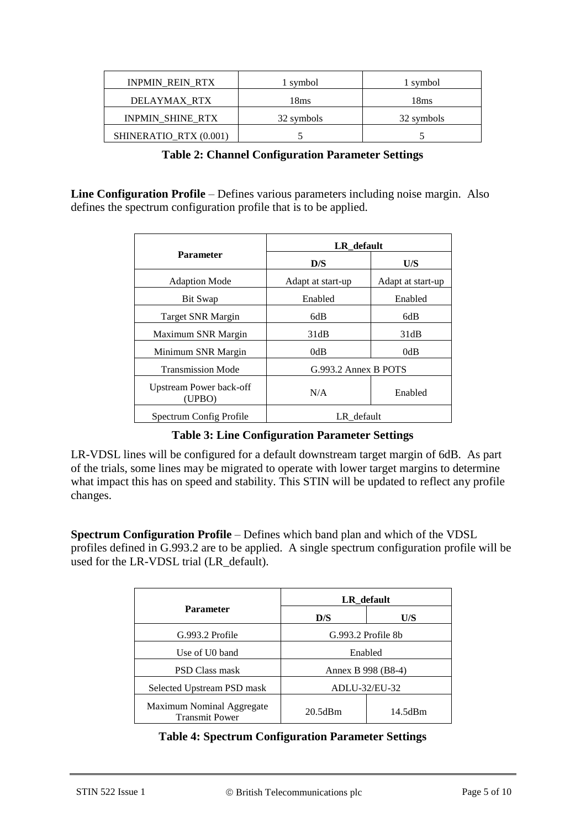| <b>INPMIN_REIN_RTX</b>  | 1 symbol   | 1 symbol   |
|-------------------------|------------|------------|
| DELAYMAX RTX            | 18ms       | 18ms       |
| <b>INPMIN SHINE RTX</b> | 32 symbols | 32 symbols |
| SHINERATIO RTX (0.001)  |            |            |

**Table 2: Channel Configuration Parameter Settings**

**Line Configuration Profile** – Defines various parameters including noise margin. Also defines the spectrum configuration profile that is to be applied.

|                                       | LR default           |                   |
|---------------------------------------|----------------------|-------------------|
| <b>Parameter</b>                      | D/S                  | U/S               |
| <b>Adaption Mode</b>                  | Adapt at start-up    | Adapt at start-up |
| Bit Swap                              | Enabled              | Enabled           |
| Target SNR Margin                     | 6dB                  | 6dB               |
| Maximum SNR Margin                    | 31dB                 | 31dB              |
| Minimum SNR Margin                    | 0dB                  | 0dB               |
| <b>Transmission Mode</b>              | G.993.2 Annex B POTS |                   |
| Upstream Power back-off<br>(UPBO)     | N/A                  | Enabled           |
| LR default<br>Spectrum Config Profile |                      |                   |

#### **Table 3: Line Configuration Parameter Settings**

LR-VDSL lines will be configured for a default downstream target margin of 6dB. As part of the trials, some lines may be migrated to operate with lower target margins to determine what impact this has on speed and stability. This STIN will be updated to reflect any profile changes.

**Spectrum Configuration Profile** – Defines which band plan and which of the VDSL profiles defined in G.993.2 are to be applied. A single spectrum configuration profile will be used for the LR-VDSL trial (LR\_default).

|                                                    | LR_default         |         |
|----------------------------------------------------|--------------------|---------|
| <b>Parameter</b>                                   | D/S                | U/S     |
| G.993.2 Profile                                    | G.993.2 Profile 8b |         |
| Enabled<br>Use of U0 band                          |                    |         |
| <b>PSD Class mask</b>                              | Annex B 998 (B8-4) |         |
| Selected Upstream PSD mask                         | ADLU-32/EU-32      |         |
| Maximum Nominal Aggregate<br><b>Transmit Power</b> | 20.5dBm            | 14.5dBm |

#### **Table 4: Spectrum Configuration Parameter Settings**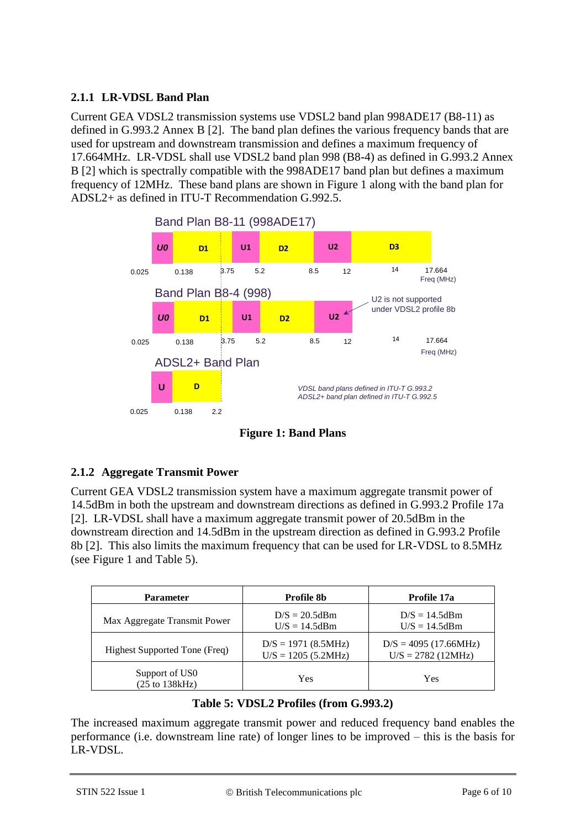#### **2.1.1 LR-VDSL Band Plan**

Current GEA VDSL2 transmission systems use VDSL2 band plan 998ADE17 (B8-11) as defined in G.993.2 Annex B [2]. The band plan defines the various frequency bands that are used for upstream and downstream transmission and defines a maximum frequency of 17.664MHz. LR-VDSL shall use VDSL2 band plan 998 (B8-4) as defined in G.993.2 Annex B [2] which is spectrally compatible with the 998ADE17 band plan but defines a maximum frequency of 12MHz. These band plans are shown in [Figure 1](#page-5-0) along with the band plan for ADSL2+ as defined in ITU-T Recommendation G.992.5.



**Figure 1: Band Plans**

#### <span id="page-5-0"></span>**2.1.2 Aggregate Transmit Power**

Current GEA VDSL2 transmission system have a maximum aggregate transmit power of 14.5dBm in both the upstream and downstream directions as defined in G.993.2 Profile 17a [2]. LR-VDSL shall have a maximum aggregate transmit power of 20.5dBm in the downstream direction and 14.5dBm in the upstream direction as defined in G.993.2 Profile 8b [2]. This also limits the maximum frequency that can be used for LR-VDSL to 8.5MHz (see [Figure 1](#page-5-0) and [Table 5\)](#page-5-1).

| <b>Parameter</b>                                    | Profile 8b                                       | Profile 17a                                      |
|-----------------------------------------------------|--------------------------------------------------|--------------------------------------------------|
| Max Aggregate Transmit Power                        | $D/S = 20.5$ dBm<br>$U/S = 14.5$ dBm             | $D/S = 14.5dBm$<br>$U/S = 14.5$ dBm              |
| Highest Supported Tone (Freq)                       | $D/S = 1971 (8.5 MHz)$<br>$U/S = 1205 (5.2 MHz)$ | $D/S = 4095 (17.66 MHz)$<br>$U/S = 2782$ (12MHz) |
| Support of US0<br>$(25 \text{ to } 138 \text{kHz})$ | Yes                                              | <b>Yes</b>                                       |

#### **Table 5: VDSL2 Profiles (from G.993.2)**

<span id="page-5-1"></span>The increased maximum aggregate transmit power and reduced frequency band enables the performance (i.e. downstream line rate) of longer lines to be improved – this is the basis for LR-VDSL.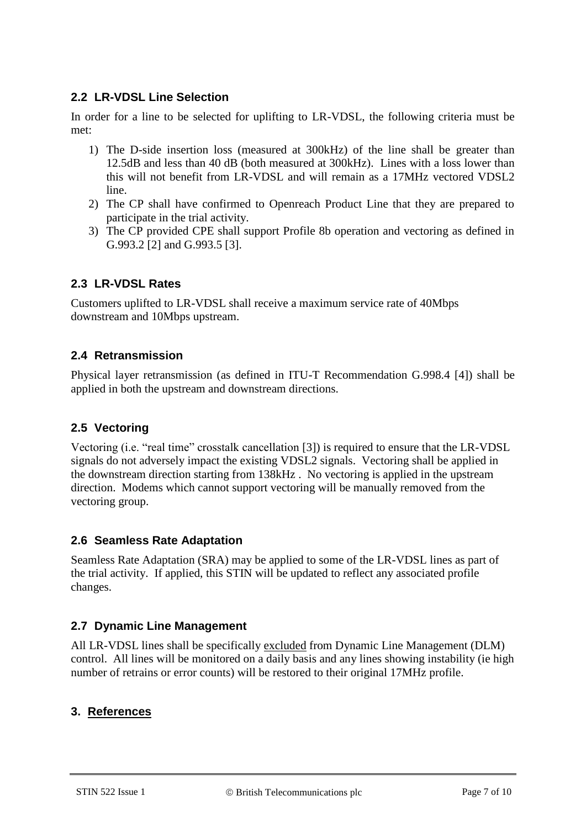#### **2.2 LR-VDSL Line Selection**

In order for a line to be selected for uplifting to LR-VDSL, the following criteria must be met:

- 1) The D-side insertion loss (measured at 300kHz) of the line shall be greater than 12.5dB and less than 40 dB (both measured at 300kHz). Lines with a loss lower than this will not benefit from LR-VDSL and will remain as a 17MHz vectored VDSL2 line.
- 2) The CP shall have confirmed to Openreach Product Line that they are prepared to participate in the trial activity.
- 3) The CP provided CPE shall support Profile 8b operation and vectoring as defined in G.993.2 [2] and G.993.5 [3].

#### **2.3 LR-VDSL Rates**

Customers uplifted to LR-VDSL shall receive a maximum service rate of 40Mbps downstream and 10Mbps upstream.

#### **2.4 Retransmission**

Physical layer retransmission (as defined in ITU-T Recommendation G.998.4 [4]) shall be applied in both the upstream and downstream directions.

#### **2.5 Vectoring**

Vectoring (i.e. "real time" crosstalk cancellation [3]) is required to ensure that the LR-VDSL signals do not adversely impact the existing VDSL2 signals. Vectoring shall be applied in the downstream direction starting from 138kHz . No vectoring is applied in the upstream direction. Modems which cannot support vectoring will be manually removed from the vectoring group.

#### **2.6 Seamless Rate Adaptation**

Seamless Rate Adaptation (SRA) may be applied to some of the LR-VDSL lines as part of the trial activity. If applied, this STIN will be updated to reflect any associated profile changes.

#### **2.7 Dynamic Line Management**

All LR-VDSL lines shall be specifically excluded from Dynamic Line Management (DLM) control. All lines will be monitored on a daily basis and any lines showing instability (ie high number of retrains or error counts) will be restored to their original 17MHz profile.

#### **3. References**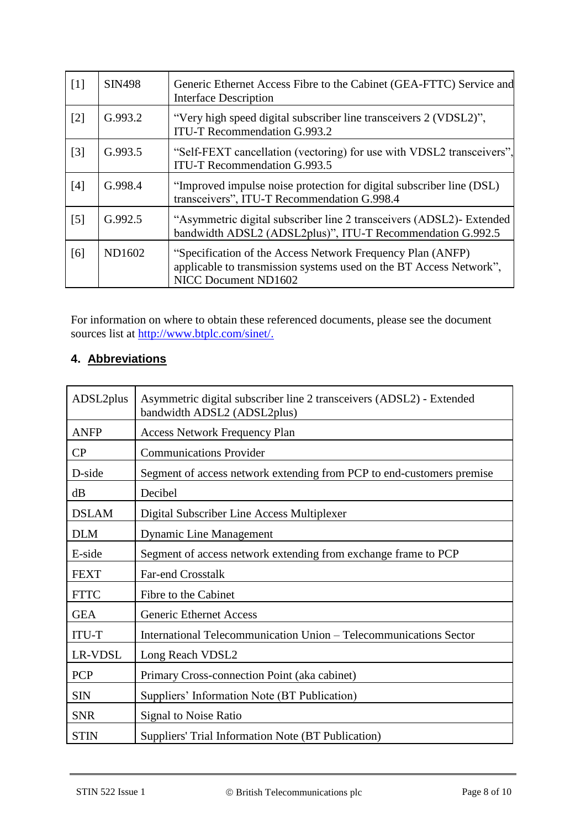| [1]               | <b>SIN498</b> | Generic Ethernet Access Fibre to the Cabinet (GEA-FTTC) Service and<br><b>Interface Description</b>                                                      |
|-------------------|---------------|----------------------------------------------------------------------------------------------------------------------------------------------------------|
| $\lceil 2 \rceil$ | G.993.2       | "Very high speed digital subscriber line transceivers 2 (VDSL2)",<br><b>ITU-T Recommendation G.993.2</b>                                                 |
| $\lceil 3 \rceil$ | G.993.5       | "Self-FEXT cancellation (vectoring) for use with VDSL2 transceivers",<br><b>ITU-T Recommendation G.993.5</b>                                             |
| [4]               | G.998.4       | "Improved impulse noise protection for digital subscriber line (DSL)<br>transceivers", ITU-T Recommendation G.998.4                                      |
| $\lceil 5 \rceil$ | G.992.5       | "Asymmetric digital subscriber line 2 transceivers (ADSL2)- Extended<br>bandwidth ADSL2 (ADSL2plus)", ITU-T Recommendation G.992.5                       |
| [6]               | ND1602        | "Specification of the Access Network Frequency Plan (ANFP)<br>applicable to transmission systems used on the BT Access Network",<br>NICC Document ND1602 |

For information on where to obtain these referenced documents, please see the document sources list at [http://www.btplc.com/sinet/.](http://www.btplc.com/sinet/)

# **4. Abbreviations**

| ADSL2plus    | Asymmetric digital subscriber line 2 transceivers (ADSL2) - Extended<br>bandwidth ADSL2 (ADSL2plus) |
|--------------|-----------------------------------------------------------------------------------------------------|
| <b>ANFP</b>  | <b>Access Network Frequency Plan</b>                                                                |
| CP           | <b>Communications Provider</b>                                                                      |
| D-side       | Segment of access network extending from PCP to end-customers premise                               |
| dB           | Decibel                                                                                             |
| <b>DSLAM</b> | Digital Subscriber Line Access Multiplexer                                                          |
| <b>DLM</b>   | <b>Dynamic Line Management</b>                                                                      |
| E-side       | Segment of access network extending from exchange frame to PCP                                      |
| <b>FEXT</b>  | Far-end Crosstalk                                                                                   |
| <b>FTTC</b>  | Fibre to the Cabinet                                                                                |
| <b>GEA</b>   | <b>Generic Ethernet Access</b>                                                                      |
| <b>ITU-T</b> | International Telecommunication Union - Telecommunications Sector                                   |
| LR-VDSL      | Long Reach VDSL2                                                                                    |
| <b>PCP</b>   | Primary Cross-connection Point (aka cabinet)                                                        |
| <b>SIN</b>   | Suppliers' Information Note (BT Publication)                                                        |
| <b>SNR</b>   | Signal to Noise Ratio                                                                               |
| <b>STIN</b>  | Suppliers' Trial Information Note (BT Publication)                                                  |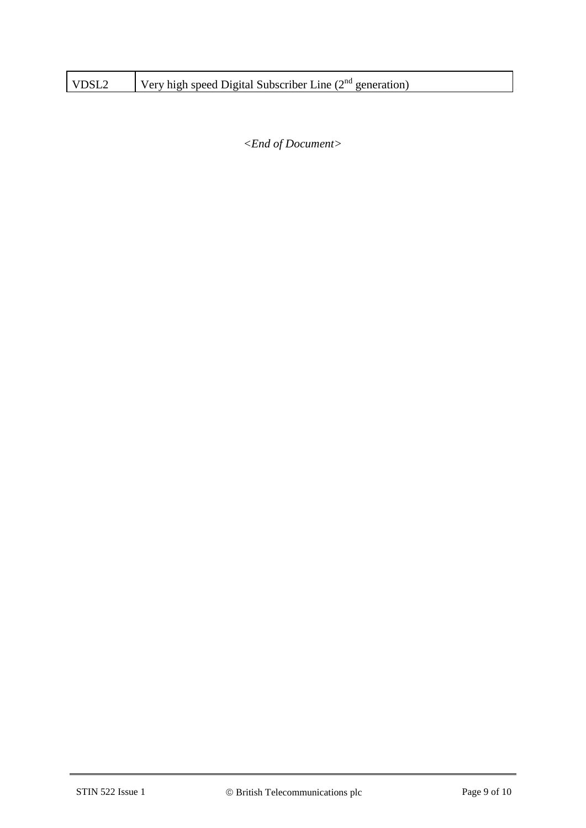| VDSL <sub>2</sub> | Very high speed Digital Subscriber Line $(2^{nd}$ generation) |
|-------------------|---------------------------------------------------------------|
|-------------------|---------------------------------------------------------------|

*<End of Document>*